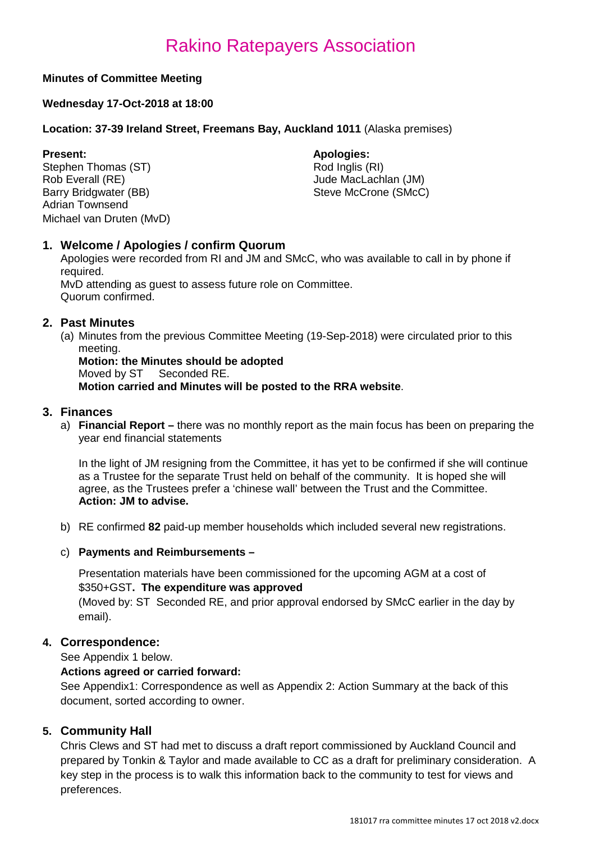## **Minutes of Committee Meeting**

## **Wednesday 17-Oct-2018 at 18:00**

## **Location: 37-39 Ireland Street, Freemans Bay, Auckland 1011** (Alaska premises)

Stephen Thomas (ST)<br>Rob Everall (RE) Rob Everall (RE)<br>
Barry Bridgwater (BB) Steve McCrone (SMcC Adrian Townsend Michael van Druten (MvD)

**Present: Apologies: Apologies: Apologies: Apologies: Apologies: Apologies: Apologies: Apologies: Apologies: Apologies: Apologies: Apologies: Apologies: Apologies: Apologies: Apologies: Ap** Steve McCrone (SMcC)

## **1. Welcome / Apologies / confirm Quorum**

Apologies were recorded from RI and JM and SMcC, who was available to call in by phone if required.

MvD attending as guest to assess future role on Committee. Quorum confirmed.

## **2. Past Minutes**

(a) Minutes from the previous Committee Meeting (19-Sep-2018) were circulated prior to this meeting.

**Motion: the Minutes should be adopted** Moved by ST Seconded RE. **Motion carried and Minutes will be posted to the RRA website**.

## **3. Finances**

a) **Financial Report –** there was no monthly report as the main focus has been on preparing the year end financial statements

In the light of JM resigning from the Committee, it has yet to be confirmed if she will continue as a Trustee for the separate Trust held on behalf of the community. It is hoped she will agree, as the Trustees prefer a 'chinese wall' between the Trust and the Committee. **Action: JM to advise.**

b) RE confirmed **82** paid-up member households which included several new registrations.

## c) **Payments and Reimbursements –**

Presentation materials have been commissioned for the upcoming AGM at a cost of \$350+GST**. The expenditure was approved** 

(Moved by: ST Seconded RE, and prior approval endorsed by SMcC earlier in the day by email).

## **4. Correspondence:**

See Appendix 1 below.

## **Actions agreed or carried forward:**

See Appendix1: Correspondence as well as Appendix 2: Action Summary at the back of this document, sorted according to owner.

## **5. Community Hall**

Chris Clews and ST had met to discuss a draft report commissioned by Auckland Council and prepared by Tonkin & Taylor and made available to CC as a draft for preliminary consideration. A key step in the process is to walk this information back to the community to test for views and preferences.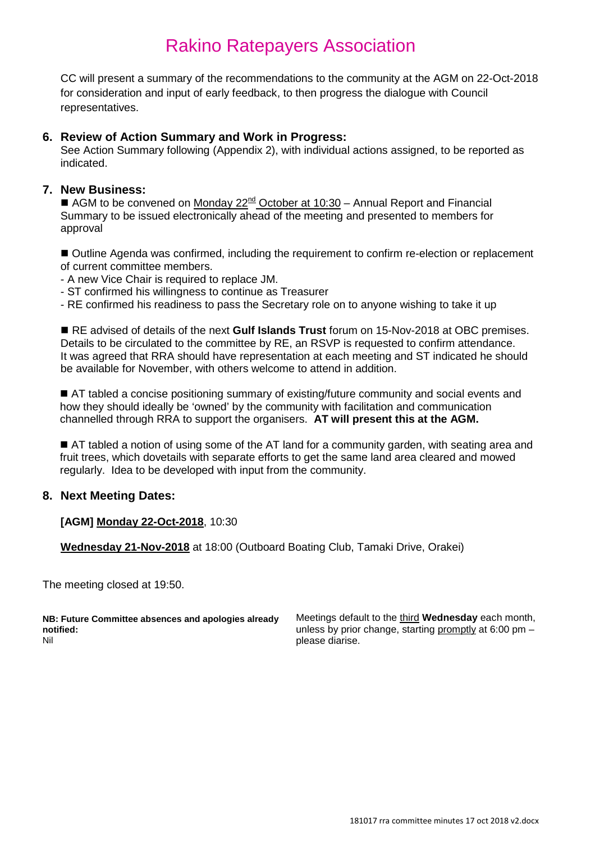CC will present a summary of the recommendations to the community at the AGM on 22-Oct-2018 for consideration and input of early feedback, to then progress the dialogue with Council representatives.

## **6. Review of Action Summary and Work in Progress:**

See Action Summary following (Appendix 2), with individual actions assigned, to be reported as indicated.

## **7. New Business:**

AGM to be convened on Monday  $22^{nd}$  October at 10:30 – Annual Report and Financial Summary to be issued electronically ahead of the meeting and presented to members for approval

 Outline Agenda was confirmed, including the requirement to confirm re-election or replacement of current committee members.

- A new Vice Chair is required to replace JM.
- ST confirmed his willingness to continue as Treasurer
- RE confirmed his readiness to pass the Secretary role on to anyone wishing to take it up

 RE advised of details of the next **Gulf Islands Trust** forum on 15-Nov-2018 at OBC premises. Details to be circulated to the committee by RE, an RSVP is requested to confirm attendance. It was agreed that RRA should have representation at each meeting and ST indicated he should be available for November, with others welcome to attend in addition.

■ AT tabled a concise positioning summary of existing/future community and social events and how they should ideally be 'owned' by the community with facilitation and communication channelled through RRA to support the organisers. **AT will present this at the AGM.**

AT tabled a notion of using some of the AT land for a community garden, with seating area and fruit trees, which dovetails with separate efforts to get the same land area cleared and mowed regularly. Idea to be developed with input from the community.

## **8. Next Meeting Dates:**

## **[AGM] Monday 22-Oct-2018**, 10:30

**Wednesday 21-Nov-2018** at 18:00 (Outboard Boating Club, Tamaki Drive, Orakei)

The meeting closed at 19:50.

**NB: Future Committee absences and apologies already notified:** Nil

Meetings default to the third **Wednesday** each month, unless by prior change, starting promptly at 6:00 pm – please diarise.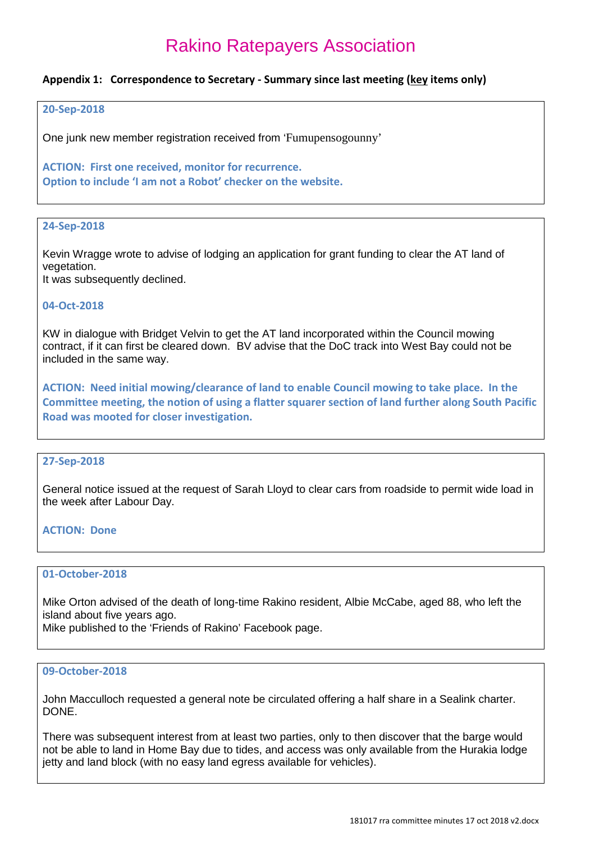### **Appendix 1: Correspondence to Secretary - Summary since last meeting (key items only)**

#### **20-Sep-2018**

One junk new member registration received from 'Fumupensogounny'

**ACTION: First one received, monitor for recurrence. Option to include 'I am not a Robot' checker on the website.**

### **24-Sep-2018**

Kevin Wragge wrote to advise of lodging an application for grant funding to clear the AT land of vegetation.

It was subsequently declined.

#### **04-Oct-2018**

KW in dialogue with Bridget Velvin to get the AT land incorporated within the Council mowing contract, if it can first be cleared down. BV advise that the DoC track into West Bay could not be included in the same way.

**ACTION: Need initial mowing/clearance of land to enable Council mowing to take place. In the Committee meeting, the notion of using a flatter squarer section of land further along South Pacific Road was mooted for closer investigation.**

#### **27-Sep-2018**

General notice issued at the request of Sarah Lloyd to clear cars from roadside to permit wide load in the week after Labour Day.

#### **ACTION: Done**

## **01-October-2018**

Mike Orton advised of the death of long-time Rakino resident, Albie McCabe, aged 88, who left the island about five years ago. Mike published to the 'Friends of Rakino' Facebook page.

#### **09-October-2018**

John Macculloch requested a general note be circulated offering a half share in a Sealink charter. DONE.

There was subsequent interest from at least two parties, only to then discover that the barge would not be able to land in Home Bay due to tides, and access was only available from the Hurakia lodge jetty and land block (with no easy land egress available for vehicles).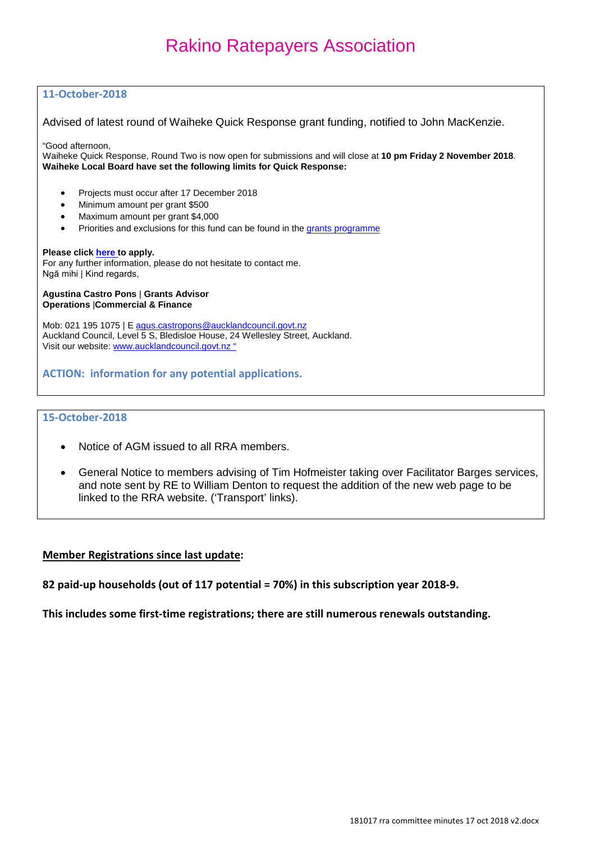## **11-October-2018**

Advised of latest round of Waiheke Quick Response grant funding, notified to John MacKenzie.

"Good afternoon,

Waiheke Quick Response, Round Two is now open for submissions and will close at **10 pm Friday 2 November 2018**. **Waiheke Local Board have set the following limits for Quick Response:**

- Projects must occur after 17 December 2018
- Minimum amount per grant \$500
- Maximum amount per grant \$4,000
- Priorities and exclusions for this fund can be found in th[e grants programme](https://mandrillapp.com/track/click/30769296/www.aucklandcouncil.govt.nz?p=eyJzIjoicWRhVUpBdnlESlhSdUg3Q0phNlZ5UFMwVF80IiwidiI6MSwicCI6IntcInVcIjozMDc2OTI5NixcInZcIjoxLFwidXJsXCI6XCJodHRwczpcXFwvXFxcL3d3dy5hdWNrbGFuZGNvdW5jaWwuZ292dC5uelxcXC9wbGFucy1wcm9qZWN0cy1wb2xpY2llcy1yZXBvcnRzLWJ5bGF3c1xcXC9vdXItcG9saWNpZXNcXFwvZG9jc2xvY2FsYm9hcmRjb21tdW5pdHlncmFudHNcXFwvd2FpaGVrZS1ncmFudHMtcHJvZ3JhbW1lLnBkZlwiLFwiaWRcIjpcIjlmM2NiYjU2ZDU2NjQyNmFhMDJiN2FhY2JiYzIyNDA4XCIsXCJ1cmxfaWRzXCI6W1wiN2I1MTVmNGI4OGIwNzYwMDA5OGU5NGJiNjhlYzliMjUwM2JiZGMyY1wiXX0ifQ)

#### **Please click [here t](https://mandrillapp.com/track/click/30769296/aucklandcouncil.smartygrants.com.au?p=eyJzIjoiYUFJVlBMOWd1ZUF6aDl0STdVT2Y2UUZBLTc4IiwidiI6MSwicCI6IntcInVcIjozMDc2OTI5NixcInZcIjoxLFwidXJsXCI6XCJodHRwczpcXFwvXFxcL2F1Y2tsYW5kY291bmNpbC5zbWFydHlncmFudHMuY29tLmF1XFxcL1dhaWhla2UxODE5UVIyXCIsXCJpZFwiOlwiOWYzY2JiNTZkNTY2NDI2YWEwMmI3YWFjYmJjMjI0MDhcIixcInVybF9pZHNcIjpbXCI3Y2UzZjQ3MDU2YjBhOWEyYjZhYTYxNzk4NmRmMTQ3OTY1ZjBhY2U5XCJdfSJ9)o apply.**

For any further information, please do not hesitate to contact me. Ngā mihi | Kind regards,

#### **Agustina Castro Pons** | **Grants Advisor Operations** |**Commercial & Finance**

Mob: 021 195 1075 | E [agus.castropons@aucklandcouncil.govt.nz](mailto:agus.castropons@aucklandcouncil.govt.nz) Auckland Council, Level 5 S, Bledisloe House, 24 Wellesley Street, Auckland. Visit our website: [www.aucklandcouncil.govt.nz](https://mandrillapp.com/track/click/30769296/www.aucklandcouncil.govt.nz?p=eyJzIjoiV1RybGc5UFEtM1BseWpGWFNGQzRiNGdfRTNBIiwidiI6MSwicCI6IntcInVcIjozMDc2OTI5NixcInZcIjoxLFwidXJsXCI6XCJodHRwOlxcXC9cXFwvd3d3LmF1Y2tsYW5kY291bmNpbC5nb3Z0Lm56XFxcL1wiLFwiaWRcIjpcIjlmM2NiYjU2ZDU2NjQyNmFhMDJiN2FhY2JiYzIyNDA4XCIsXCJ1cmxfaWRzXCI6W1wiODZjYjQ1Y2MyMjZkMGYwZThiMmYwOWU0NmY2N2E1MDYyNDk3MzhkYVwiXX0ifQ) "

**ACTION: information for any potential applications.**

#### **15-October-2018**

- Notice of AGM issued to all RRA members.
- General Notice to members advising of Tim Hofmeister taking over Facilitator Barges services, and note sent by RE to William Denton to request the addition of the new web page to be linked to the RRA website. ('Transport' links).

#### **Member Registrations since last update:**

**82 paid-up households (out of 117 potential = 70%) in this subscription year 2018-9.**

**This includes some first-time registrations; there are still numerous renewals outstanding.**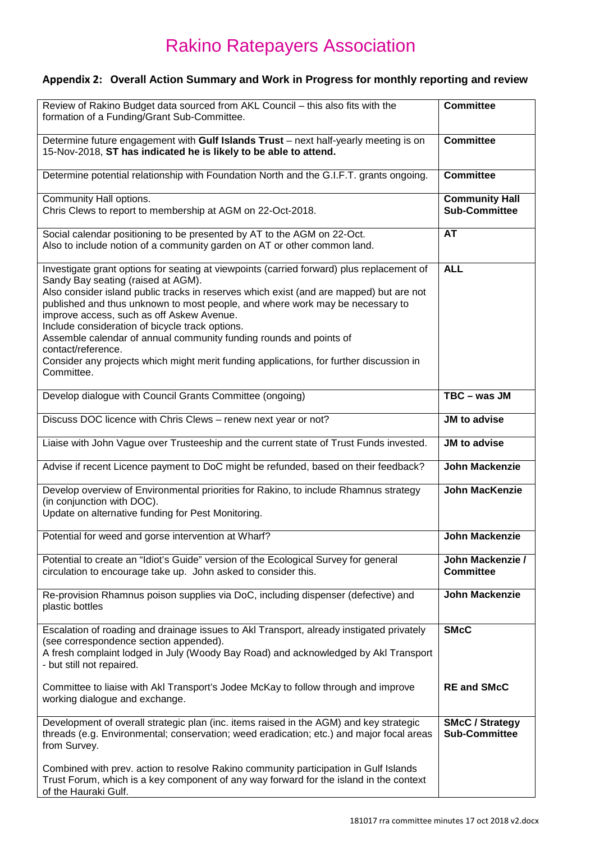## **Appendix 2: Overall Action Summary and Work in Progress for monthly reporting and review**

| Review of Rakino Budget data sourced from AKL Council - this also fits with the<br>formation of a Funding/Grant Sub-Committee.                                                                                                                                                                                                                                                                                                                                                                                                                                                                                   | <b>Committee</b>                               |
|------------------------------------------------------------------------------------------------------------------------------------------------------------------------------------------------------------------------------------------------------------------------------------------------------------------------------------------------------------------------------------------------------------------------------------------------------------------------------------------------------------------------------------------------------------------------------------------------------------------|------------------------------------------------|
| Determine future engagement with Gulf Islands Trust - next half-yearly meeting is on<br>15-Nov-2018, ST has indicated he is likely to be able to attend.                                                                                                                                                                                                                                                                                                                                                                                                                                                         | <b>Committee</b>                               |
| Determine potential relationship with Foundation North and the G.I.F.T. grants ongoing.                                                                                                                                                                                                                                                                                                                                                                                                                                                                                                                          | <b>Committee</b>                               |
| Community Hall options.<br>Chris Clews to report to membership at AGM on 22-Oct-2018.                                                                                                                                                                                                                                                                                                                                                                                                                                                                                                                            | <b>Community Hall</b><br><b>Sub-Committee</b>  |
| Social calendar positioning to be presented by AT to the AGM on 22-Oct.<br>Also to include notion of a community garden on AT or other common land.                                                                                                                                                                                                                                                                                                                                                                                                                                                              | AT                                             |
| Investigate grant options for seating at viewpoints (carried forward) plus replacement of<br>Sandy Bay seating (raised at AGM).<br>Also consider island public tracks in reserves which exist (and are mapped) but are not<br>published and thus unknown to most people, and where work may be necessary to<br>improve access, such as off Askew Avenue.<br>Include consideration of bicycle track options.<br>Assemble calendar of annual community funding rounds and points of<br>contact/reference.<br>Consider any projects which might merit funding applications, for further discussion in<br>Committee. | <b>ALL</b>                                     |
| Develop dialogue with Council Grants Committee (ongoing)                                                                                                                                                                                                                                                                                                                                                                                                                                                                                                                                                         | $TBC - was JM$                                 |
| Discuss DOC licence with Chris Clews - renew next year or not?                                                                                                                                                                                                                                                                                                                                                                                                                                                                                                                                                   | JM to advise                                   |
| Liaise with John Vague over Trusteeship and the current state of Trust Funds invested.                                                                                                                                                                                                                                                                                                                                                                                                                                                                                                                           | JM to advise                                   |
| Advise if recent Licence payment to DoC might be refunded, based on their feedback?                                                                                                                                                                                                                                                                                                                                                                                                                                                                                                                              | <b>John Mackenzie</b>                          |
| Develop overview of Environmental priorities for Rakino, to include Rhamnus strategy<br>(in conjunction with DOC).<br>Update on alternative funding for Pest Monitoring.                                                                                                                                                                                                                                                                                                                                                                                                                                         | <b>John MacKenzie</b>                          |
| Potential for weed and gorse intervention at Wharf?                                                                                                                                                                                                                                                                                                                                                                                                                                                                                                                                                              | <b>John Mackenzie</b>                          |
| Potential to create an "Idiot's Guide" version of the Ecological Survey for general<br>circulation to encourage take up. John asked to consider this.                                                                                                                                                                                                                                                                                                                                                                                                                                                            | John Mackenzie /<br><b>Committee</b>           |
| Re-provision Rhamnus poison supplies via DoC, including dispenser (defective) and<br>plastic bottles                                                                                                                                                                                                                                                                                                                                                                                                                                                                                                             | <b>John Mackenzie</b>                          |
| Escalation of roading and drainage issues to AkI Transport, already instigated privately<br>(see correspondence section appended).<br>A fresh complaint lodged in July (Woody Bay Road) and acknowledged by Akl Transport<br>- but still not repaired.                                                                                                                                                                                                                                                                                                                                                           | <b>SMcC</b>                                    |
| Committee to liaise with Akl Transport's Jodee McKay to follow through and improve<br>working dialogue and exchange.                                                                                                                                                                                                                                                                                                                                                                                                                                                                                             | <b>RE and SMcC</b>                             |
| Development of overall strategic plan (inc. items raised in the AGM) and key strategic<br>threads (e.g. Environmental; conservation; weed eradication; etc.) and major focal areas<br>from Survey.                                                                                                                                                                                                                                                                                                                                                                                                               | <b>SMcC / Strategy</b><br><b>Sub-Committee</b> |
| Combined with prev. action to resolve Rakino community participation in Gulf Islands<br>Trust Forum, which is a key component of any way forward for the island in the context<br>of the Hauraki Gulf.                                                                                                                                                                                                                                                                                                                                                                                                           |                                                |